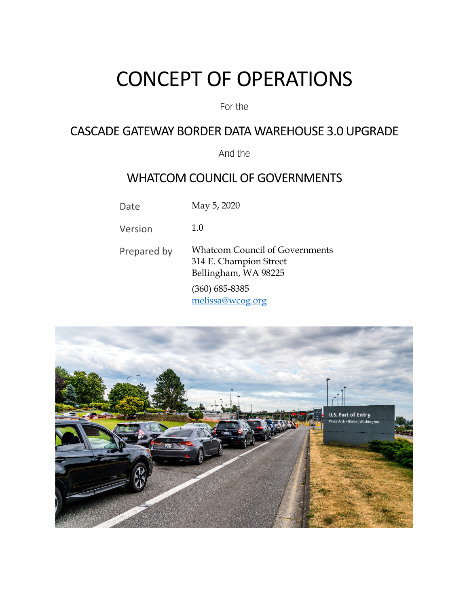# CONCEPT OF OPERATIONS

#### For the

# CASCADE GATEWAY BORDER DATA WAREHOUSE 3.0 UPGRADE

And the

# WHATCOM COUNCIL OF GOVERNMENTS

Date May 5, 2020

Version 1.0

Prepared by Whatcom Council of Governments 314 E. Champion Street Bellingham, WA 98225 (360) 685-8385 [melissa@wcog.org](mailto:melissa@wcog.org)

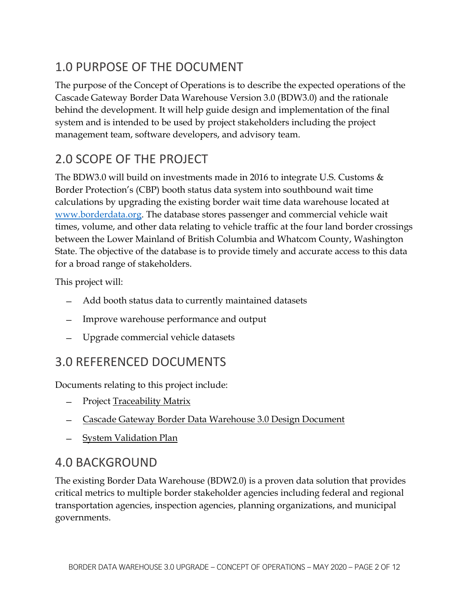# 1.0 PURPOSE OF THE DOCUMENT

The purpose of the Concept of Operations is to describe the expected operations of the Cascade Gateway Border Data Warehouse Version 3.0 (BDW3.0) and the rationale behind the development. It will help guide design and implementation of the final system and is intended to be used by project stakeholders including the project management team, software developers, and advisory team.

# 2.0 SCOPE OF THE PROJECT

The BDW3.0 will build on investments made in 2016 to integrate U.S. Customs & Border Protection's (CBP) booth status data system into southbound wait time calculations by upgrading the existing border wait time data warehouse located at [www.borderdata.org.](http://www.borderdata.org/) The database stores passenger and commercial vehicle wait times, volume, and other data relating to vehicle traffic at the four land border crossings between the Lower Mainland of British Columbia and Whatcom County, Washington State. The objective of the database is to provide timely and accurate access to this data for a broad range of stakeholders.

This project will:

- ̶ Add booth status data to currently maintained datasets
- ̶ Improve warehouse performance and output
- ̶ Upgrade commercial vehicle datasets

# 3.0 REFERENCED DOCUMENTS

Documents relating to this project include:

- Project Traceability Matrix
- ̶ Cascade Gateway Border Data Warehouse 3.0 Design Document
- ̶ System Validation Plan

# 4.0 BACKGROUND

The existing Border Data Warehouse (BDW2.0) is a proven data solution that provides critical metrics to multiple border stakeholder agencies including federal and regional transportation agencies, inspection agencies, planning organizations, and municipal governments.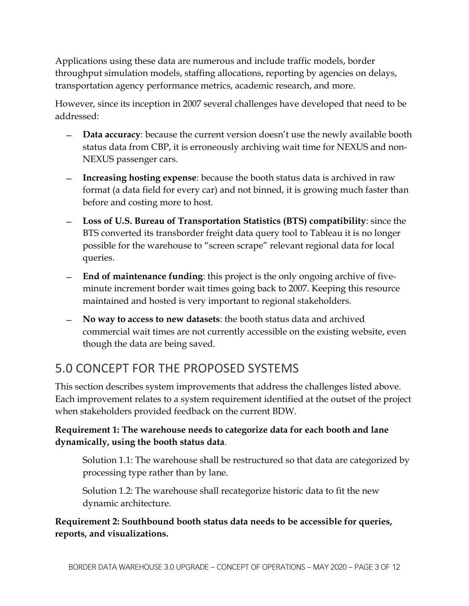Applications using these data are numerous and include traffic models, border throughput simulation models, staffing allocations, reporting by agencies on delays, transportation agency performance metrics, academic research, and more.

However, since its inception in 2007 several challenges have developed that need to be addressed:

- ̶ **Data accuracy**: because the current version doesn't use the newly available booth status data from CBP, it is erroneously archiving wait time for NEXUS and non-NEXUS passenger cars.
- ̶ **Increasing hosting expense**: because the booth status data is archived in raw format (a data field for every car) and not binned, it is growing much faster than before and costing more to host.
- ̶ **Loss of U.S. Bureau of Transportation Statistics (BTS) compatibility**: since the BTS converted its transborder freight data query tool to Tableau it is no longer possible for the warehouse to "screen scrape" relevant regional data for local queries.
- ̶ **End of maintenance funding**: this project is the only ongoing archive of fiveminute increment border wait times going back to 2007. Keeping this resource maintained and hosted is very important to regional stakeholders.
- ̶ **No way to access to new datasets**: the booth status data and archived commercial wait times are not currently accessible on the existing website, even though the data are being saved.

# 5.0 CONCEPT FOR THE PROPOSED SYSTEMS

This section describes system improvements that address the challenges listed above. Each improvement relates to a system requirement identified at the outset of the project when stakeholders provided feedback on the current BDW.

**Requirement 1: The warehouse needs to categorize data for each booth and lane dynamically, using the booth status data**.

Solution 1.1: The warehouse shall be restructured so that data are categorized by processing type rather than by lane.

Solution 1.2: The warehouse shall recategorize historic data to fit the new dynamic architecture.

**Requirement 2: Southbound booth status data needs to be accessible for queries, reports, and visualizations.**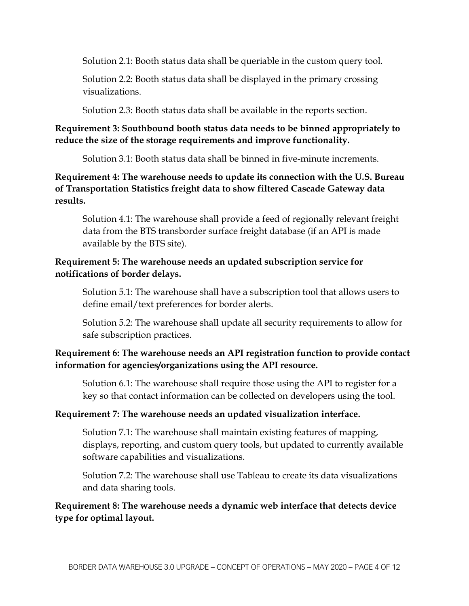Solution 2.1: Booth status data shall be queriable in the custom query tool.

Solution 2.2: Booth status data shall be displayed in the primary crossing visualizations.

Solution 2.3: Booth status data shall be available in the reports section.

#### **Requirement 3: Southbound booth status data needs to be binned appropriately to reduce the size of the storage requirements and improve functionality.**

Solution 3.1: Booth status data shall be binned in five-minute increments.

**Requirement 4: The warehouse needs to update its connection with the U.S. Bureau of Transportation Statistics freight data to show filtered Cascade Gateway data results.**

Solution 4.1: The warehouse shall provide a feed of regionally relevant freight data from the BTS transborder surface freight database (if an API is made available by the BTS site).

### **Requirement 5: The warehouse needs an updated subscription service for notifications of border delays.**

Solution 5.1: The warehouse shall have a subscription tool that allows users to define email/text preferences for border alerts.

Solution 5.2: The warehouse shall update all security requirements to allow for safe subscription practices.

### **Requirement 6: The warehouse needs an API registration function to provide contact information for agencies/organizations using the API resource.**

Solution 6.1: The warehouse shall require those using the API to register for a key so that contact information can be collected on developers using the tool.

### **Requirement 7: The warehouse needs an updated visualization interface.**

Solution 7.1: The warehouse shall maintain existing features of mapping, displays, reporting, and custom query tools, but updated to currently available software capabilities and visualizations.

Solution 7.2: The warehouse shall use Tableau to create its data visualizations and data sharing tools.

**Requirement 8: The warehouse needs a dynamic web interface that detects device type for optimal layout.**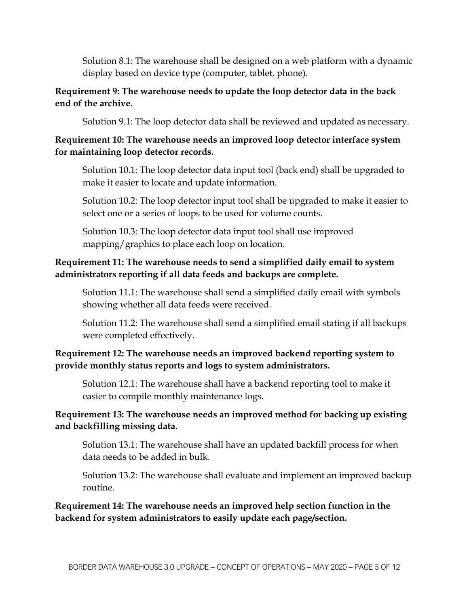Solution 8.1: The warehouse shall be designed on a web platform with a dynamic display based on device type (computer, tablet, phone).

#### **Requirement 9: The warehouse needs to update the loop detector data in the back end of the archive.**

Solution 9.1: The loop detector data shall be reviewed and updated as necessary.

#### **Requirement 10: The warehouse needs an improved loop detector interface system for maintaining loop detector records.**

Solution 10.1: The loop detector data input tool (back end) shall be upgraded to make it easier to locate and update information.

Solution 10.2: The loop detector input tool shall be upgraded to make it easier to select one or a series of loops to be used for volume counts.

Solution 10.3: The loop detector data input tool shall use improved mapping/graphics to place each loop on location.

### **Requirement 11: The warehouse needs to send a simplified daily email to system administrators reporting if all data feeds and backups are complete.**

Solution 11.1: The warehouse shall send a simplified daily email with symbols showing whether all data feeds were received.

Solution 11.2: The warehouse shall send a simplified email stating if all backups were completed effectively.

#### **Requirement 12: The warehouse needs an improved backend reporting system to provide monthly status reports and logs to system administrators.**

Solution 12.1: The warehouse shall have a backend reporting tool to make it easier to compile monthly maintenance logs.

#### **Requirement 13: The warehouse needs an improved method for backing up existing and backfilling missing data.**

Solution 13.1: The warehouse shall have an updated backfill process for when data needs to be added in bulk.

Solution 13.2: The warehouse shall evaluate and implement an improved backup routine.

**Requirement 14: The warehouse needs an improved help section function in the backend for system administrators to easily update each page/section.**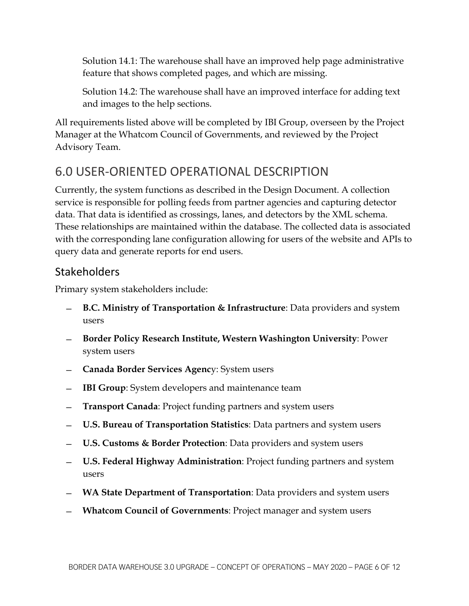Solution 14.1: The warehouse shall have an improved help page administrative feature that shows completed pages, and which are missing.

Solution 14.2: The warehouse shall have an improved interface for adding text and images to the help sections.

All requirements listed above will be completed by IBI Group, overseen by the Project Manager at the Whatcom Council of Governments, and reviewed by the Project Advisory Team.

# 6.0 USER-ORIENTED OPERATIONAL DESCRIPTION

Currently, the system functions as described in the Design Document. A collection service is responsible for polling feeds from partner agencies and capturing detector data. That data is identified as crossings, lanes, and detectors by the XML schema. These relationships are maintained within the database. The collected data is associated with the corresponding lane configuration allowing for users of the website and APIs to query data and generate reports for end users.

## Stakeholders

Primary system stakeholders include:

- ̶ **B.C. Ministry of Transportation & Infrastructure**: Data providers and system users
- ̶ **Border Policy Research Institute, Western Washington University**: Power system users
- ̶ **Canada Border Services Agenc**y: System users
- **IBI Group:** System developers and maintenance team
- ̶ **Transport Canada**: Project funding partners and system users
- ̶ **U.S. Bureau of Transportation Statistics**: Data partners and system users
- ̶ **U.S. Customs & Border Protection**: Data providers and system users
- ̶ **U.S. Federal Highway Administration**: Project funding partners and system users
- ̶ **WA State Department of Transportation**: Data providers and system users
- ̶ **Whatcom Council of Governments**: Project manager and system users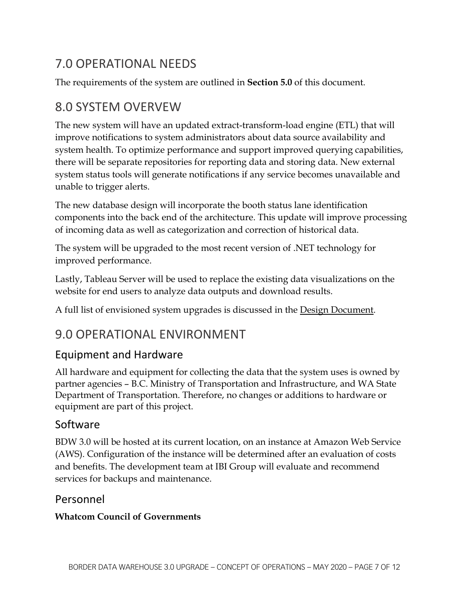# 7.0 OPERATIONAL NEEDS

The requirements of the system are outlined in **Section 5.0** of this document.

# 8.0 SYSTEM OVERVEW

The new system will have an updated extract-transform-load engine (ETL) that will improve notifications to system administrators about data source availability and system health. To optimize performance and support improved querying capabilities, there will be separate repositories for reporting data and storing data. New external system status tools will generate notifications if any service becomes unavailable and unable to trigger alerts.

The new database design will incorporate the booth status lane identification components into the back end of the architecture. This update will improve processing of incoming data as well as categorization and correction of historical data.

The system will be upgraded to the most recent version of .NET technology for improved performance.

Lastly, Tableau Server will be used to replace the existing data visualizations on the website for end users to analyze data outputs and download results.

A full list of envisioned system upgrades is discussed in the Design Document.

# 9.0 OPERATIONAL ENVIRONMENT

# Equipment and Hardware

All hardware and equipment for collecting the data that the system uses is owned by partner agencies – B.C. Ministry of Transportation and Infrastructure, and WA State Department of Transportation. Therefore, no changes or additions to hardware or equipment are part of this project.

# Software

BDW 3.0 will be hosted at its current location, on an instance at Amazon Web Service (AWS). Configuration of the instance will be determined after an evaluation of costs and benefits. The development team at IBI Group will evaluate and recommend services for backups and maintenance.

### Personnel

### **Whatcom Council of Governments**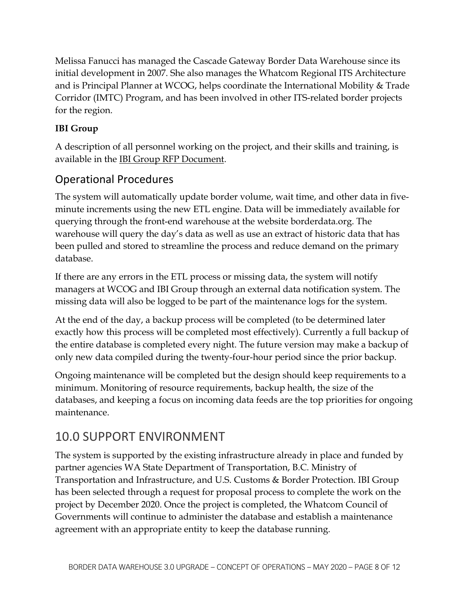Melissa Fanucci has managed the Cascade Gateway Border Data Warehouse since its initial development in 2007. She also manages the Whatcom Regional ITS Architecture and is Principal Planner at WCOG, helps coordinate the International Mobility & Trade Corridor (IMTC) Program, and has been involved in other ITS-related border projects for the region.

### **IBI Group**

A description of all personnel working on the project, and their skills and training, is available in the IBI Group RFP Document.

# Operational Procedures

The system will automatically update border volume, wait time, and other data in fiveminute increments using the new ETL engine. Data will be immediately available for querying through the front-end warehouse at the website borderdata.org. The warehouse will query the day's data as well as use an extract of historic data that has been pulled and stored to streamline the process and reduce demand on the primary database.

If there are any errors in the ETL process or missing data, the system will notify managers at WCOG and IBI Group through an external data notification system. The missing data will also be logged to be part of the maintenance logs for the system.

At the end of the day, a backup process will be completed (to be determined later exactly how this process will be completed most effectively). Currently a full backup of the entire database is completed every night. The future version may make a backup of only new data compiled during the twenty-four-hour period since the prior backup.

Ongoing maintenance will be completed but the design should keep requirements to a minimum. Monitoring of resource requirements, backup health, the size of the databases, and keeping a focus on incoming data feeds are the top priorities for ongoing maintenance.

# 10.0 SUPPORT ENVIRONMENT

The system is supported by the existing infrastructure already in place and funded by partner agencies WA State Department of Transportation, B.C. Ministry of Transportation and Infrastructure, and U.S. Customs & Border Protection. IBI Group has been selected through a request for proposal process to complete the work on the project by December 2020. Once the project is completed, the Whatcom Council of Governments will continue to administer the database and establish a maintenance agreement with an appropriate entity to keep the database running.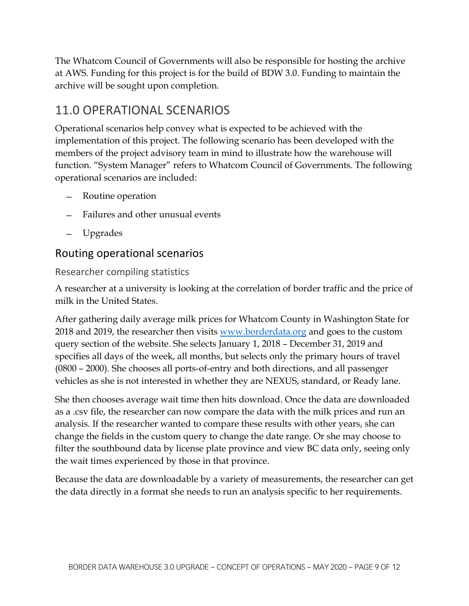The Whatcom Council of Governments will also be responsible for hosting the archive at AWS. Funding for this project is for the build of BDW 3.0. Funding to maintain the archive will be sought upon completion.

# 11.0 OPERATIONAL SCENARIOS

Operational scenarios help convey what is expected to be achieved with the implementation of this project. The following scenario has been developed with the members of the project advisory team in mind to illustrate how the warehouse will function. "System Manager" refers to Whatcom Council of Governments. The following operational scenarios are included:

- ̶ Routine operation
- ̶ Failures and other unusual events
- ̶ Upgrades

### Routing operational scenarios

#### Researcher compiling statistics

A researcher at a university is looking at the correlation of border traffic and the price of milk in the United States.

After gathering daily average milk prices for Whatcom County in Washington State for 2018 and 2019, the researcher then visits [www.borderdata.org](http://www.borderdata.org/) and goes to the custom query section of the website. She selects January 1, 2018 – December 31, 2019 and specifies all days of the week, all months, but selects only the primary hours of travel (0800 – 2000). She chooses all ports-of-entry and both directions, and all passenger vehicles as she is not interested in whether they are NEXUS, standard, or Ready lane.

She then chooses average wait time then hits download. Once the data are downloaded as a .csv file, the researcher can now compare the data with the milk prices and run an analysis. If the researcher wanted to compare these results with other years, she can change the fields in the custom query to change the date range. Or she may choose to filter the southbound data by license plate province and view BC data only, seeing only the wait times experienced by those in that province.

Because the data are downloadable by a variety of measurements, the researcher can get the data directly in a format she needs to run an analysis specific to her requirements.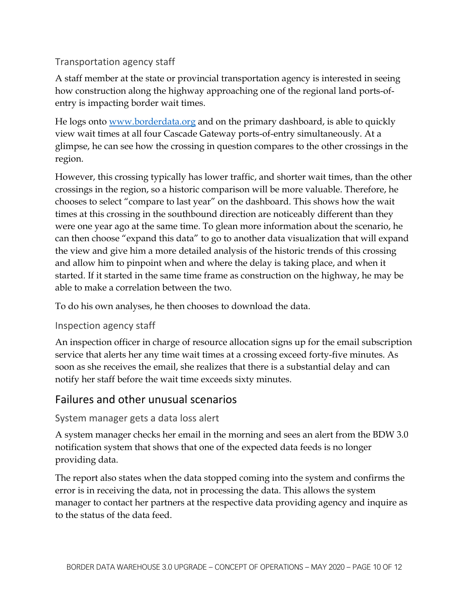### Transportation agency staff

A staff member at the state or provincial transportation agency is interested in seeing how construction along the highway approaching one of the regional land ports-ofentry is impacting border wait times.

He logs onto [www.borderdata.org](http://www.borderdata.org/) and on the primary dashboard, is able to quickly view wait times at all four Cascade Gateway ports-of-entry simultaneously. At a glimpse, he can see how the crossing in question compares to the other crossings in the region.

However, this crossing typically has lower traffic, and shorter wait times, than the other crossings in the region, so a historic comparison will be more valuable. Therefore, he chooses to select "compare to last year" on the dashboard. This shows how the wait times at this crossing in the southbound direction are noticeably different than they were one year ago at the same time. To glean more information about the scenario, he can then choose "expand this data" to go to another data visualization that will expand the view and give him a more detailed analysis of the historic trends of this crossing and allow him to pinpoint when and where the delay is taking place, and when it started. If it started in the same time frame as construction on the highway, he may be able to make a correlation between the two.

To do his own analyses, he then chooses to download the data.

### Inspection agency staff

An inspection officer in charge of resource allocation signs up for the email subscription service that alerts her any time wait times at a crossing exceed forty-five minutes. As soon as she receives the email, she realizes that there is a substantial delay and can notify her staff before the wait time exceeds sixty minutes.

### Failures and other unusual scenarios

### System manager gets a data loss alert

A system manager checks her email in the morning and sees an alert from the BDW 3.0 notification system that shows that one of the expected data feeds is no longer providing data.

The report also states when the data stopped coming into the system and confirms the error is in receiving the data, not in processing the data. This allows the system manager to contact her partners at the respective data providing agency and inquire as to the status of the data feed.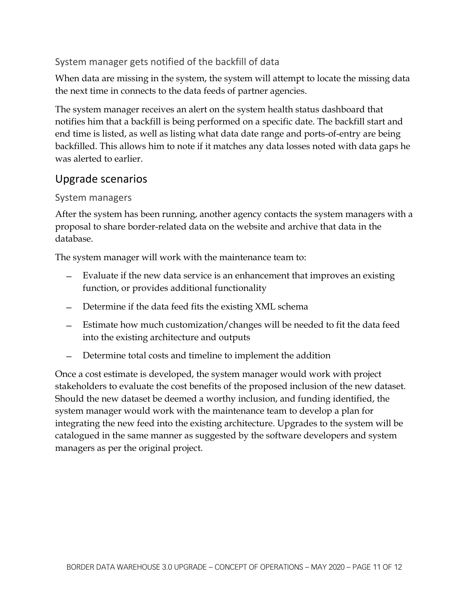### System manager gets notified of the backfill of data

When data are missing in the system, the system will attempt to locate the missing data the next time in connects to the data feeds of partner agencies.

The system manager receives an alert on the system health status dashboard that notifies him that a backfill is being performed on a specific date. The backfill start and end time is listed, as well as listing what data date range and ports-of-entry are being backfilled. This allows him to note if it matches any data losses noted with data gaps he was alerted to earlier.

### Upgrade scenarios

#### System managers

After the system has been running, another agency contacts the system managers with a proposal to share border-related data on the website and archive that data in the database.

The system manager will work with the maintenance team to:

- ̶ Evaluate if the new data service is an enhancement that improves an existing function, or provides additional functionality
- ̶ Determine if the data feed fits the existing XML schema
- ̶ Estimate how much customization/changes will be needed to fit the data feed into the existing architecture and outputs
- Determine total costs and timeline to implement the addition

Once a cost estimate is developed, the system manager would work with project stakeholders to evaluate the cost benefits of the proposed inclusion of the new dataset. Should the new dataset be deemed a worthy inclusion, and funding identified, the system manager would work with the maintenance team to develop a plan for integrating the new feed into the existing architecture. Upgrades to the system will be catalogued in the same manner as suggested by the software developers and system managers as per the original project.